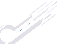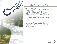

# Appendix D: Development Costs

# Opinion of Probable Costs

All cost estimates should be considered with the following notes and limitations in mind:

- This "Opinion of Probable Cost" (OPC) should not be considered a guaranteed maximum cost, but instead is a professional opinion of probable construction costs at the time of this study. Costs should be revisited every two years and updated accordingly. It should be anticipated that bids and actual costs will vary from this OPC.
- The "Cost Factor", as utilized, is a percentage of calculated costs, which is added to the subtotal. The Cost Factor helps compensate for unknown elements or conditions, variations in quantities used, and other unforeseen circumstances.
- A separate "Contingency Fund" should be developed above and beyond the total figure in the OPC. This fund will provide for modifications to the design, higher than anticipated costs, and other program alterations after construction initiation.
- Cost estimates do not include the following: land acquisition, retaining walls, fencing, rock and unsuitable soils excavation, permitting fees, mobilization, and taxes.

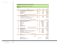**Apr-13**

## **PROJECT NAME - Atlanta Beltline / Silver Comet Connection**

SUMMARY OF PROBABLE COSTS

**SECTION 1 Project Summary**

| NO.                                                                          | <b>ITEM</b>                                                                                                                                                                                                                                                                                                                                                                | QTY.                                                                                                                           | <b>UNIT</b>                                                    | COST                                                                                                                                            | <b>EXTENSION</b>                                                                                                                                                      |
|------------------------------------------------------------------------------|----------------------------------------------------------------------------------------------------------------------------------------------------------------------------------------------------------------------------------------------------------------------------------------------------------------------------------------------------------------------------|--------------------------------------------------------------------------------------------------------------------------------|----------------------------------------------------------------|-------------------------------------------------------------------------------------------------------------------------------------------------|-----------------------------------------------------------------------------------------------------------------------------------------------------------------------|
|                                                                              |                                                                                                                                                                                                                                                                                                                                                                            |                                                                                                                                |                                                                |                                                                                                                                                 |                                                                                                                                                                       |
| A.<br>$\overline{1}$<br>$\overline{2}$<br>3<br>$\overline{4}$<br>5<br>6<br>B | EARTHWORK, DEMOLITION, CLEARING + EROSION CONTROL<br>Clearing + Grubbing (includes litter and vandalism removal)<br>Silt Fence (Each Side)<br>Fine Grading (0-5 cu ft/lf)<br><b>Construction Entrance</b><br><b>Bank Stabilization</b><br>Hydroseeding<br>Total Earthwork, Demolition, Clearing + Erosion Control<br><b>GENERAL CONSTRUCTION</b>                           | 34.745<br>69.490<br>34,745<br>14<br>2,000<br>34,745                                                                            | LF<br>LF<br>LF<br>EA<br>LF<br>LF                               | \$3.00<br>\$3.00<br>\$4.28<br>\$3,000.00<br>\$4.28<br>\$0.32                                                                                    | \$104,234.92<br>\$208,469.84<br>\$148,708.49<br>\$42,000.00<br>\$8,560.00<br>\$11,118.39<br>\$523,091.64                                                              |
| $\overline{7}$                                                               | 10' Concrete Multi-Use Trail (4" thick, 3,000 PSI conc., WWF, 4" gravel base)                                                                                                                                                                                                                                                                                              | 34,745                                                                                                                         | LF                                                             | \$55.00                                                                                                                                         | \$1,910,973.55                                                                                                                                                        |
| 8<br>9<br>10                                                                 | Curb and Gutter (Concrete, 6" x 30", TP 2)<br>*10' Asphalt Multi-Use Trail (1½ " thick bituminous surface, 4" gravel base)<br>*10' Crushed Stone Trail (3/4" crushed stone, compacted, 6" deep)<br>*Alternative trail surfaces not included in cost estimates                                                                                                              | 300<br>34,745<br>34,745                                                                                                        | LF<br>LF<br>LF                                                 | \$20.00<br>\$23.00<br>\$10.00                                                                                                                   | \$6,000.00<br>\$799,134.39<br>\$347,449.74                                                                                                                            |
|                                                                              | <b>Total General Construction</b>                                                                                                                                                                                                                                                                                                                                          |                                                                                                                                |                                                                |                                                                                                                                                 | \$3,063,557.68                                                                                                                                                        |
| C.                                                                           | <b>STRUCTURES AND SPECIAL FEATURES</b>                                                                                                                                                                                                                                                                                                                                     |                                                                                                                                |                                                                |                                                                                                                                                 |                                                                                                                                                                       |
| 13<br>14<br>15<br>16<br>17<br>18<br>19<br>20<br>21<br>22<br>23               | Lighting and Wiring of Overpasses and Underpasses<br>Rehabilitation of Existing Structures<br>Trailhead<br>Directional Signage<br>Interpretive Signage<br>Kiosks<br><b>Mile Markers</b><br><b>Tree Planting</b><br>Raised Planters/Bollards<br><b>Trash/Recycle Receptacles</b><br><b>Benches</b><br><b>Total Structures and Special Features</b>                          | $\mathbf 0$<br>$\mathbf 0$<br>$\overline{2}$<br>3<br>$\overline{7}$<br>3<br>$\overline{7}$<br>34<br>18<br>$\overline{7}$<br>14 | LS<br>EA<br>EA<br>EA<br>EA<br>EA<br>EA<br>EA<br>EA<br>EA<br>EA | \$22,000.00<br>\$500,000.00<br>\$500,000.00<br>\$250.00<br>\$1,800.00<br>\$2,500.00<br>\$325.00<br>\$500.00<br>\$500.00<br>\$350.00<br>\$750.00 | \$0.00<br>\$0.00<br>\$1,000,000.00<br>\$750.00<br>\$12,600.00<br>\$7,500.00<br>\$2,275.00<br>\$17,000.00<br>\$9,000.00<br>\$2,450.00<br>\$10,500.00<br>\$1,062,075.00 |
| D.                                                                           | <b>SAFETY TREATMENTS</b>                                                                                                                                                                                                                                                                                                                                                   |                                                                                                                                |                                                                |                                                                                                                                                 |                                                                                                                                                                       |
| 24<br>25<br>26<br>27<br>28<br>29<br>30<br>31                                 | Detectable Warning Mat<br>Signage (Traffic Control)<br><b>Bank Stabilization</b><br>Intersection Treatment (Unsignalized Crossing with curb ramp and crosswalk)<br>Intersection Treatment (Signalized Crossing - Countdown Signal Only)<br><b>Raised Crosswalk</b><br>Intersection Treatment (Signalized Crossing - HAWK)<br>Black wrought iron fencing along steep slopes | $6\overline{6}$<br>18<br>2,000<br>3                                                                                            | EA<br>EA<br>LF<br>EA<br>EA<br>EA<br>EA<br>LF                   | \$175.00<br>\$250.00<br>\$40.00<br>\$5,525.00<br>\$10,020.00<br>\$7,000.00<br>\$52,500.00<br>\$90.00                                            | \$1.050.00<br>\$4,500.00<br>\$80,000.00<br>\$16,575.00<br>\$0.00<br>\$0.00<br>\$0.00<br>\$0.00                                                                        |
|                                                                              | <b>Total Safety Treatments</b>                                                                                                                                                                                                                                                                                                                                             |                                                                                                                                |                                                                |                                                                                                                                                 | \$102,125.00                                                                                                                                                          |
| Е.<br>32                                                                     | <b>OTHER</b><br>Registered Land Survey                                                                                                                                                                                                                                                                                                                                     | 34,745                                                                                                                         | LF                                                             | \$2.00                                                                                                                                          | \$69,489.95                                                                                                                                                           |
|                                                                              | <b>Total Other</b>                                                                                                                                                                                                                                                                                                                                                         |                                                                                                                                |                                                                |                                                                                                                                                 | \$69,489.95                                                                                                                                                           |
|                                                                              | SUBTOTAL ALL AREAS<br><b>COST FACTOR</b><br>FEASIBILITY, DESIGN, ENGINEERING<br><b>GRAND TOTAL ALL AREAS</b>                                                                                                                                                                                                                                                               | 30%                                                                                                                            | 20% Contingency                                                |                                                                                                                                                 | \$4,820,339.27<br>\$964,067.85<br>\$1,446,101.78<br>\$7,230,508.91                                                                                                    |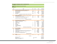SUMMARY OF PROBABLE COSTS

**Apr-13**

**PROJECT NAME - Mabelton Silver Comet Connection SECTION 2 Project Summary**

| NO.            | <b>ITEM</b>                                                                   | QTY.         | <b>UNIT</b>     | COST         | <b>EXTENSION</b> |
|----------------|-------------------------------------------------------------------------------|--------------|-----------------|--------------|------------------|
|                |                                                                               |              |                 |              |                  |
| А.             | <b>EARTHWORK, DEMOLITION, CLEARING + EROSION CONTROL</b>                      |              |                 |              |                  |
| $\mathbf{1}$   | Clearing + Grubbing (includes litter and vandalism removal)                   | 17,077       | LF              | \$3.00       | \$51,231.01      |
| $\overline{2}$ | Silt Fence (Each Side)                                                        | 34.154       | LF              | \$3.00       | \$102,462.02     |
| 3              | Fine Grading (0-5 cu ft/lf)                                                   | 17,077       | LF              | \$4.28       | \$73,089.58      |
| $\overline{4}$ | <b>Construction Entrance</b>                                                  | 6            | EA              | \$3,000.00   | \$18,000.00      |
| 5              | <b>Bank Stabilization</b>                                                     | 800          | LF              | \$4.28       | \$3,424.00       |
| 6              | Hydroseeding                                                                  | 17,077       | LF.             | \$0.32       | \$5,464.64       |
|                | <b>Total Earthwork, Demolition, Clearing + Erosion Control</b>                |              |                 |              | \$253,671.25     |
| B              | <b>GENERAL CONSTRUCTION</b>                                                   |              |                 |              |                  |
| $\overline{7}$ | 10' Concrete Multi-Use Trail (4" thick, 3,000 PSI conc., WWF, 4" gravel base) | 17,077       | LF              | \$55.00      | \$939,235.20     |
| 8              | Curb and Gutter (Concrete, 6" x 30", TP 2)                                    | 400          | LF              | \$20.00      | \$8,000.00       |
| 9              | *10' Asphalt Multi-Use Trail (1½ " thick bituminous surface, 4" gravel base)  | 17.077       | LF              | \$23.00      | \$392,771.08     |
| 10             | *10' Crushed Stone Trail (3/4" crushed stone, compacted, 6" deep)             | 17.077       | LF              | \$10.00      | \$170,770.04     |
|                | *Alternative trail surfaces not included in cost estimates                    |              |                 |              |                  |
|                | <b>Total General Construction</b>                                             |              |                 |              | \$1,510,776.32   |
| C.             | <b>STRUCTURES AND SPECIAL FEATURES</b>                                        |              |                 |              |                  |
| 13             | Lighting and Wiring of Overpasses and Underpasses                             |              | LS              | \$22,000.00  | \$0.00           |
| 14             | Rehabilitation of Existing Structures                                         |              | <b>LS</b>       | \$500,000.00 | \$0.00           |
| 15             | Trailhead                                                                     | $\mathbf{1}$ | EA              | \$500,000.00 | \$500,000.00     |
| 16             | <b>Directional Signage</b>                                                    | 3            | EA              | \$250.00     | \$750.00         |
| 17             | Interpretive Signage                                                          | 3            | EA              | \$1,800.00   | \$5,400.00       |
| 18             | Kiosks                                                                        | 3            | EA              | \$2,500.00   | \$7,500.00       |
| 19             | <b>Mile Markers</b>                                                           | 3            | EA              | \$325.00     | \$975.00         |
| 20             | <b>Tree Planting</b>                                                          | 16           | EA              | \$500.00     | \$8,000.00       |
| 21             | Raised Planters/Bollards                                                      | 24           | EA              | \$500.00     | \$12,000.00      |
| 22             | <b>Trash/Recycle Receptacles</b>                                              | 3            | EA              | \$350.00     | \$1,050.00       |
| 23             | <b>Benches</b>                                                                | 6            | EA              | \$750.00     | \$4,500.00       |
|                | <b>Total Structures and Special Features</b>                                  |              |                 |              | \$540,175.00     |
| D.             | <b>SAFETY TREATMENTS</b>                                                      |              |                 |              |                  |
| 24             | Detectable Warning Mat                                                        | 8            | EA              | \$175.00     | \$1,400.00       |
| 25             | Signage (Traffic Control)                                                     | 24           | EA              | \$250.00     | \$6,000.00       |
| 26             | <b>Bank Stabilization</b>                                                     | 800          | LF.             | \$40.00      | \$32,000.00      |
| 27             | Intersection Treatment (Unsignalized Crossing with curb ramp and crosswalk)   |              | EA              | \$5,525.00   | \$0.00           |
| 28             | Intersection Treatment (Signalized Crossing - Countdown Signal Only)          | 4            | EA              | \$10,020.00  | \$40,080.00      |
| 29             | <b>Raised Crosswalk</b>                                                       |              | EA              | \$7,000.00   | \$0.00           |
| 30             | Intersection Treatment (Signalized Crossing - HAWK)                           |              | EA              | \$52,500.00  | \$0.00           |
| 31             | Black wrought iron fencing along steep slopes                                 |              | LF.             | \$90.00      | \$0.00           |
|                |                                                                               |              |                 |              |                  |
|                | <b>Total Safety Treatments</b>                                                |              |                 |              | \$79,480.00      |
| E.<br>32       | <b>OTHER</b><br>Registered Land Survey                                        | 17,077       | LF              | \$2.00       | \$34,154.01      |
|                |                                                                               |              |                 |              |                  |
|                | <b>Total Other</b>                                                            |              |                 |              | \$34,154.01      |
|                | SUBTOTAL ALL AREAS                                                            |              |                 |              | \$2,418,256.58   |
|                | <b>COST FACTOR</b>                                                            |              | 20% Contingency |              | \$483,651.32     |
|                | FEASIBILITY, DESIGN, ENGINEERING                                              | 30%          |                 |              | \$725,476.97     |
|                | <b>GRAND TOTAL ALL AREAS</b>                                                  |              |                 |              | \$3,627,384.87   |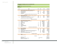SUMMARY OF PROBABLE COSTS

**Apr-13**

#### **PROJECT NAME - Smyrna Silver Comet Connection**

**SECTION 3 Project Summary**

| NO.                                                                                                                  | <b>ITEM</b>                                                                                                                                                                                                                                                                                                                                                                                                                                                                                                                                                                                                                                                                                                                                                        | QTY.                                                                        | <b>UNIT</b>                                                                                                    | COST                                                                                                                                                                                                                                                    | <b>EXTENSION</b>                                                                                                                                                                                                                                                          |
|----------------------------------------------------------------------------------------------------------------------|--------------------------------------------------------------------------------------------------------------------------------------------------------------------------------------------------------------------------------------------------------------------------------------------------------------------------------------------------------------------------------------------------------------------------------------------------------------------------------------------------------------------------------------------------------------------------------------------------------------------------------------------------------------------------------------------------------------------------------------------------------------------|-----------------------------------------------------------------------------|----------------------------------------------------------------------------------------------------------------|---------------------------------------------------------------------------------------------------------------------------------------------------------------------------------------------------------------------------------------------------------|---------------------------------------------------------------------------------------------------------------------------------------------------------------------------------------------------------------------------------------------------------------------------|
|                                                                                                                      |                                                                                                                                                                                                                                                                                                                                                                                                                                                                                                                                                                                                                                                                                                                                                                    |                                                                             |                                                                                                                |                                                                                                                                                                                                                                                         |                                                                                                                                                                                                                                                                           |
| А.<br>$\overline{1}$<br>$\overline{2}$<br>3<br>$\overline{4}$<br>5<br>6                                              | <b>EARTHWORK, DEMOLITION, CLEARING + EROSION CONTROL</b><br>Clearing + Grubbing (includes litter and vandalism removal)<br>Silt Fence (Each Side)<br>Fine Grading (0-5 cu ft/lf)<br><b>Construction Entrance</b><br><b>Bank Stabilization</b><br>Hydroseeding<br><b>Total Earthwork, Demolition, Clearing + Erosion Control</b>                                                                                                                                                                                                                                                                                                                                                                                                                                    | 21,976<br>43,951<br>21,976<br>8<br>400<br>21,976                            | LF<br>LF<br>LF<br>EA<br>LF<br>LF                                                                               | \$3.00<br>\$3.00<br>\$4.28<br>\$3,000.00<br>\$4.28<br>\$0.32                                                                                                                                                                                            | \$65,927.14<br>\$131,854.27<br>\$94,056.05<br>\$24,000.00<br>\$1,712.00<br>\$7,032.23<br>\$324,581.68                                                                                                                                                                     |
| B                                                                                                                    | <b>GENERAL CONSTRUCTION</b>                                                                                                                                                                                                                                                                                                                                                                                                                                                                                                                                                                                                                                                                                                                                        |                                                                             |                                                                                                                |                                                                                                                                                                                                                                                         |                                                                                                                                                                                                                                                                           |
| $\overline{7}$<br>8<br>9<br>10                                                                                       | 10' Concrete Multi-Use Trail (4" thick, 3,000 PSI conc., WWF, 4" gravel base)<br>Curb and Gutter (Concrete, 6" x 30", TP 2)<br>*10' Asphalt Multi-Use Trail (1½ " thick bituminous surface, 4" gravel base)<br>*10' Crushed Stone Trail (3/4" crushed stone, compacted, 6" deep)<br>*Alternative trail surfaces not included in cost estimates<br><b>Total General Construction</b>                                                                                                                                                                                                                                                                                                                                                                                | 21,976<br>3,000<br>21,976<br>21,976                                         | LF<br>LF<br>LF<br>LF                                                                                           | \$55.00<br>\$20.00<br>\$23.00<br>\$10.00                                                                                                                                                                                                                | \$1,208,664.15<br>\$60,000.00<br>\$505,441.37<br>\$219,757.12<br>\$1,268,664.15                                                                                                                                                                                           |
| C <sub>1</sub>                                                                                                       | <b>STRUCTURES AND SPECIAL FEATURES</b>                                                                                                                                                                                                                                                                                                                                                                                                                                                                                                                                                                                                                                                                                                                             |                                                                             |                                                                                                                |                                                                                                                                                                                                                                                         |                                                                                                                                                                                                                                                                           |
| 13<br>14<br>15<br>16<br>17<br>18<br>19<br>20<br>21<br>22<br>23<br>D.<br>24<br>25<br>26<br>27<br>28<br>29<br>30<br>31 | Lighting and Wiring of Overpasses and Underpasses<br>Rehabilitation of Existing Structures<br>Trailhead<br><b>Directional Signage</b><br>Interpretive Signage<br>Kiosks<br><b>Mile Markers</b><br><b>Tree Planting</b><br>Raised Planters/Bollards<br><b>Trash/Recycle Receptacles</b><br><b>Benches</b><br><b>Total Structures and Special Features</b><br><b>SAFETY TREATMENTS</b><br>Detectable Warning Mat<br>Signage (Traffic Control)<br><b>Bank Stabilization</b><br>Intersection Treatment (Unsignalized Crossing with curb ramp and crosswalk)<br>Intersection Treatment (Signalized Crossing - Countdown Signal Only)<br><b>Raised Crosswalk</b><br>Intersection Treatment (Signalized Crossing - HAWK)<br>Black wrought iron fencing along steep slopes | 1<br>3<br>4<br>3<br>4<br>18<br>180<br>4<br>8<br>60<br>180<br>400<br>21<br>9 | LS<br>LS<br>EA<br>EA<br>EA<br>EA<br>EA<br>EA<br>EA<br>EA<br>EA<br>EA<br>EA<br>LF<br>EA<br>EA<br>EA<br>EA<br>LF | \$22,000.00<br>\$500,000.00<br>\$500,000.00<br>\$250.00<br>\$1,800.00<br>\$2,500.00<br>\$325.00<br>\$500.00<br>\$500.00<br>\$350.00<br>\$750.00<br>\$175.00<br>\$250.00<br>\$40.00<br>\$5.525.00<br>\$10,020.00<br>\$7,000.00<br>\$52,500.00<br>\$90.00 | \$0.00<br>\$0.00<br>\$500,000.00<br>\$750.00<br>\$7,200.00<br>\$7,500.00<br>\$1,300.00<br>\$9,000.00<br>\$90,000.00<br>\$1,400.00<br>\$6,000.00<br>\$623,150.00<br>\$10,500.00<br>\$45,000.00<br>\$16,000.00<br>\$116,025.00<br>\$90,180.00<br>\$0.00<br>\$0.00<br>\$0.00 |
| E.                                                                                                                   | <b>Total Safety Treatments</b><br><b>OTHER</b>                                                                                                                                                                                                                                                                                                                                                                                                                                                                                                                                                                                                                                                                                                                     |                                                                             |                                                                                                                |                                                                                                                                                                                                                                                         | \$277,705.00                                                                                                                                                                                                                                                              |
| 32                                                                                                                   | Registered Land Survey                                                                                                                                                                                                                                                                                                                                                                                                                                                                                                                                                                                                                                                                                                                                             | 21,976                                                                      | LF                                                                                                             | \$2.00                                                                                                                                                                                                                                                  | \$43,951.42                                                                                                                                                                                                                                                               |
|                                                                                                                      | <b>Total Other</b>                                                                                                                                                                                                                                                                                                                                                                                                                                                                                                                                                                                                                                                                                                                                                 |                                                                             |                                                                                                                |                                                                                                                                                                                                                                                         | \$43,951.42                                                                                                                                                                                                                                                               |
|                                                                                                                      | SUBTOTAL ALL AREAS<br><b>COST FACTOR</b><br>FEASIBILITY, DESIGN, ENGINEERING<br><b>GRAND TOTAL ALL AREAS</b>                                                                                                                                                                                                                                                                                                                                                                                                                                                                                                                                                                                                                                                       | 30%                                                                         | 20% Contingency                                                                                                |                                                                                                                                                                                                                                                         | \$2,538,052.25<br>\$507,610.45<br>\$761,415.68<br>\$3,807,078.38                                                                                                                                                                                                          |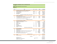SUMMARY OF PROBABLE COSTS

**Apr-13**

#### **PROJECT NAME - Marietta Silver Comet Connection SECTION 4**

**Project Summary**

| NO.                                                                        | <b>ITEM</b>                                                                                                                                                                                                                                                                                                                                                                                                    | QTY.                                                                         | <b>UNIT</b>                                                                 | COST                                                                                                                                                        | <b>EXTENSION</b>                                                                                                                                                                     |
|----------------------------------------------------------------------------|----------------------------------------------------------------------------------------------------------------------------------------------------------------------------------------------------------------------------------------------------------------------------------------------------------------------------------------------------------------------------------------------------------------|------------------------------------------------------------------------------|-----------------------------------------------------------------------------|-------------------------------------------------------------------------------------------------------------------------------------------------------------|--------------------------------------------------------------------------------------------------------------------------------------------------------------------------------------|
|                                                                            |                                                                                                                                                                                                                                                                                                                                                                                                                |                                                                              |                                                                             |                                                                                                                                                             |                                                                                                                                                                                      |
| А.<br>$\mathbf{1}$<br>$\overline{2}$<br>3<br>$\overline{4}$<br>5<br>6      | <b>EARTHWORK, DEMOLITION, CLEARING + EROSION CONTROL</b><br>Clearing + Grubbing (includes litter and vandalism removal)<br>Silt Fence (Each Side)<br>Fine Grading (0-5 cu ft/lf)<br><b>Construction Entrance</b><br><b>Bank Stabilization</b><br>Hydroseeding<br><b>Total Earthwork, Demolition, Clearing + Erosion Control</b>                                                                                | 53.704<br>107,407<br>53,704<br>20<br>8,010<br>53,704                         | LF<br>LF<br>LF<br>EA<br>LF<br>LF                                            | \$3.00<br>\$3.00<br>\$4.28<br>\$3,000.00<br>\$4.28<br>\$0.32<br>\$0.00                                                                                      | \$161,111.01<br>\$322,222.02<br>\$229,851.70<br>\$60,000.00<br>\$34,282.80<br>\$17,185.17<br>\$824,652.70                                                                            |
| в                                                                          | <b>GENERAL CONSTRUCTION</b>                                                                                                                                                                                                                                                                                                                                                                                    |                                                                              |                                                                             |                                                                                                                                                             |                                                                                                                                                                                      |
| $\overline{7}$<br>8<br>9<br>10                                             | 10' Concrete Multi-Use Trail (4" thick, 3,000 PSI conc., WWF, 4" gravel base)<br>Curb and Gutter (Concrete, 6" x 30", TP 2)<br>*10' Asphalt Multi-Use Trail (1½" thick bituminous surface, 4" gravel base)<br>*10' Crushed Stone Trail (34" crushed stone, compacted, 6" deep)<br>*Alternative trail surfaces not included in cost estimates<br><b>Total General Construction</b>                              | 53,704<br>2,700<br>53.704<br>53,704                                          | LF<br>LF<br>LF<br>LF                                                        | \$55.00<br>\$20.00<br>\$23.00<br>\$10.00                                                                                                                    | \$2,953,701.81<br>\$54,000.00<br>\$1,235,184.39<br>\$537,036.69<br>\$3,007,701.81                                                                                                    |
| C.                                                                         | <b>STRUCTURES AND SPECIAL FEATURES</b>                                                                                                                                                                                                                                                                                                                                                                         |                                                                              |                                                                             |                                                                                                                                                             |                                                                                                                                                                                      |
| 13<br>14<br>15<br>16<br>17<br>18<br>19<br>20<br>21<br>22<br>23<br>D.<br>24 | Lighting and Wiring of Overpasses and Underpasses<br>Rehabilitation of Existing Structures<br>Trailhead<br>Directional Signage<br>Interpretive Signage<br><b>Kiosks</b><br><b>Mile Markers</b><br><b>Tree Planting</b><br>Raised Planters/Bollards<br><b>Trash/Recycle Receptacles</b><br><b>Benches</b><br><b>Total Structures and Special Features</b><br><b>SAFETY TREATMENTS</b><br>Detectable Warning Mat | $\overline{\mathbf{c}}$<br>3<br>10<br>3<br>10<br>40<br>162<br>10<br>20<br>54 | <b>LS</b><br>LS<br>EA<br>EA<br>EA<br>EA<br>EA<br>EA<br>EA<br>EA<br>EA<br>EA | \$22,000.00<br>\$500,000.00<br>\$500,000.00<br>\$250.00<br>\$1,800.00<br>\$2,500.00<br>\$325.00<br>\$500.00<br>\$500.00<br>\$350.00<br>\$750.00<br>\$175.00 | \$0.00<br>\$0.00<br>\$1,000,000.00<br>\$750.00<br>\$18,000.00<br>\$7,500.00<br>\$3,250.00<br>\$20,000.00<br>\$81,000.00<br>\$3,500.00<br>\$15,000.00<br>\$1,149,000.00<br>\$9,450.00 |
| 25<br>26<br>27<br>28<br>29<br>30<br>31                                     | Signage (Traffic Control)<br><b>Bank Stabilization</b><br>Intersection Treatment (Unsignalized Crossing with curb ramp and crosswalk)<br>Intersection Treatment (Signalized Crossing - Countdown Signal Only)<br><b>Raised Crosswalk</b><br>Intersection Treatment (Signalized Crossing - HAWK)<br>Black wrought iron fencing along steep slopes                                                               | 162<br>8,010<br>17<br>10                                                     | EA<br>LF<br>EA<br>EA<br>EA<br>EA<br>LF                                      | \$250.00<br>\$40.00<br>\$5,525.00<br>\$10,020.00<br>\$7,000.00<br>\$52,500.00<br>\$90.00                                                                    | \$40,500.00<br>\$320,400.00<br>\$93,925.00<br>\$100,200.00<br>\$0.00<br>\$0.00<br>\$0.00                                                                                             |
|                                                                            | <b>Total Safety Treatments</b>                                                                                                                                                                                                                                                                                                                                                                                 |                                                                              |                                                                             |                                                                                                                                                             | \$564,475.00                                                                                                                                                                         |
| Е.<br>32                                                                   | <b>OTHER</b><br>Registered Land Survey                                                                                                                                                                                                                                                                                                                                                                         | 53,704                                                                       | LF                                                                          | \$2.00                                                                                                                                                      | \$107,407.34                                                                                                                                                                         |
|                                                                            | <b>Total Other</b>                                                                                                                                                                                                                                                                                                                                                                                             |                                                                              |                                                                             |                                                                                                                                                             | \$107,407.34                                                                                                                                                                         |
|                                                                            | SUBTOTAL ALL AREAS<br><b>COST FACTOR</b><br>FEASIBILITY, DESIGN, ENGINEERING<br><b>GRAND TOTAL ALL AREAS</b>                                                                                                                                                                                                                                                                                                   | 30%                                                                          | 20% Contingency                                                             |                                                                                                                                                             | \$5,653,236.85<br>\$1,130,647.37<br>\$1,695,971.06<br>\$8,479,855.28                                                                                                                 |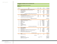**Apr-13**

#### **PROJECT NAME - Austell Silver Comet Connection**

**SECTION 5 Project Summary**

| NO.                                  | <b>ITEM</b>                                                                                                                                       | QTY.             | <b>UNIT</b>     | COST             | <b>EXTENSION</b>            |
|--------------------------------------|---------------------------------------------------------------------------------------------------------------------------------------------------|------------------|-----------------|------------------|-----------------------------|
|                                      |                                                                                                                                                   |                  |                 |                  |                             |
| Α.<br>$\mathbf{1}$<br>$\overline{c}$ | <b>EARTHWORK, DEMOLITION, CLEARING + EROSION CONTROL</b><br>Clearing + Grubbing (includes litter and vandalism removal)<br>Silt Fence (Each Side) | 22,552<br>45,104 | LF<br>LF        | \$3.00<br>\$3.00 | \$67,656.28<br>\$135,312.56 |
| 3                                    | Fine Grading (0-5 cu ft/lf)                                                                                                                       | 22,552           | LF              | \$4.28           | \$96,522.96                 |
| 4                                    | <b>Construction Entrance</b>                                                                                                                      | 8                | EA              | \$3,000.00       | \$24,000.00                 |
| 5                                    | <b>Bank Stabilization</b>                                                                                                                         | 6,873            | LF              | \$4.28           | \$29,416.44                 |
| 6                                    | Hydroseeding                                                                                                                                      | 22,552           | LF              | \$0.32           | \$7,216.67                  |
|                                      | <b>Total Earthwork, Demolition, Clearing + Erosion Control</b>                                                                                    |                  |                 | \$0.00           | \$360,124.92                |
| в                                    | <b>GENERAL CONSTRUCTION</b>                                                                                                                       |                  |                 |                  |                             |
| $\overline{7}$                       | 10' Concrete Multi-Use Trail (4" thick, 3,000 PSI conc., WWF, 4" gravel base)                                                                     | 22,552           | LF              | \$55.00          | \$1,240,365.16              |
| 8                                    | Curb and Gutter (Concrete, 6" x 30", TP 2)                                                                                                        | 200              | LF              | \$20.00          | \$4,000.00                  |
| 9                                    | *10' Asphalt Multi-Use Trail (11/2" thick bituminous surface, 4" gravel base)                                                                     | 22.552           | LF              | \$23.00          | \$518,698.16                |
| 10                                   | *10' Crushed Stone Trail (3/4" crushed stone, compacted, 6" deep)                                                                                 | 22,552           | LF              | \$10.00          | \$225,520.94                |
|                                      | *Alternative trail surfaces not included in cost estimates<br><b>Total General Construction</b>                                                   |                  |                 |                  |                             |
|                                      |                                                                                                                                                   |                  |                 |                  | \$1,988,584.25              |
| C.                                   | <b>STRUCTURES AND SPECIAL FEATURES</b>                                                                                                            |                  |                 |                  |                             |
| 13                                   | Lighting and Wiring of Overpasses and Underpasses                                                                                                 |                  | LS              | \$22,000.00      | \$0.00                      |
| 14                                   | Rehabilitation of Existing Structures                                                                                                             |                  | LS              | \$500,000.00     | \$0.00                      |
| 15                                   | Trailhead                                                                                                                                         | 1                | EA              | \$500,000.00     | \$500,000.00                |
| 16                                   | Directional Signage                                                                                                                               | 3                | EA              | \$250.00         | \$750.00                    |
| 17                                   | Interpretive Signage                                                                                                                              | 4                | EA              | \$1,800.00       | \$7,200.00                  |
| 18                                   | Kiosks                                                                                                                                            | 3                | EA              | \$2,500.00       | \$7,500.00                  |
| 19                                   | Mile Markers                                                                                                                                      | 4                | EA              | \$325.00         | \$1,300.00                  |
| 20                                   | <b>Tree Planting</b>                                                                                                                              | 18               | EA              | \$500.00         | \$9,000.00                  |
| 21                                   | Raised Planters/Bollards                                                                                                                          | 12               | EA              | \$500.00         | \$6,000.00                  |
| 22                                   | <b>Trash/Recycle Receptacles</b>                                                                                                                  | $\overline{4}$   | EA              | \$350.00         | \$1,400.00                  |
| 23                                   | <b>Benches</b><br><b>Total Structures and Special Features</b>                                                                                    | 8                | EA              | \$750.00         | \$6,000.00<br>\$539,150.00  |
| D.                                   | <b>SAFETY TREATMENTS</b>                                                                                                                          |                  |                 |                  |                             |
| 24                                   | Detectable Warning Mat                                                                                                                            | 4                | EA              | \$175.00         | \$700.00                    |
| 25                                   | Signage (Traffic Control)                                                                                                                         | 12 <sup>2</sup>  | EA              | \$250.00         | \$3,000.00                  |
| 26                                   | <b>Bank Stabilization</b>                                                                                                                         | 6,873            | LF              | \$40.00          | \$274,920.00                |
| 27                                   | Intersection Treatment (Unsignalized Crossing with curb ramp and crosswalk)                                                                       | 2                | EA              | \$5,525.00       | \$11,050.00                 |
| 28                                   | Intersection Treatment (Signalized Crossing - Countdown Signal Only)                                                                              |                  | EA              | \$10,020.00      | \$0.00                      |
| 29                                   | <b>Raised Crosswalk</b>                                                                                                                           |                  | EA              | \$7,000.00       | \$0.00                      |
| 30                                   | Intersection Treatment (Signalized Crossing - HAWK)                                                                                               |                  | EA              | \$52,500.00      | \$0.00                      |
| 31                                   | Black wrought iron fencing along steep slopes                                                                                                     |                  | LF              | \$90.00          | \$0.00                      |
|                                      | <b>Total Safety Treatments</b>                                                                                                                    |                  |                 |                  | \$289,670.00                |
| Е.                                   | <b>OTHER</b>                                                                                                                                      |                  |                 |                  |                             |
| 32                                   | Registered Land Survey                                                                                                                            | 22,552           | LF.             | \$2.00           | \$45,104.19                 |
|                                      | <b>Total Other</b>                                                                                                                                |                  |                 |                  | \$45,104.19                 |
|                                      | SUBTOTAL ALL AREAS                                                                                                                                |                  |                 |                  | \$3,222,633.35              |
|                                      | <b>COST FACTOR</b>                                                                                                                                |                  | 20% Contingency |                  | \$644,526.67                |
|                                      | FEASIBILITY, DESIGN, ENGINEERING                                                                                                                  | 30%              |                 |                  | \$966,790.01                |
|                                      | <b>GRAND TOTAL ALL AREAS</b>                                                                                                                      |                  |                 |                  | \$4,833,950.03              |
|                                      |                                                                                                                                                   |                  |                 |                  |                             |

**A. Earthwork, Demolition, Clearing + Erosion Control 7% \$360,124.92**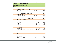**Apr-13**

## **PROJECT NAME - School Silver Comet Connection SECTION 6 Project Summary**

| NO.            | <b>ITEM</b>                                                                                | QTY.   | <b>UNIT</b>     | COST                        | <b>EXTENSION</b> |
|----------------|--------------------------------------------------------------------------------------------|--------|-----------------|-----------------------------|------------------|
|                |                                                                                            |        |                 |                             |                  |
| А.             | <b>EARTHWORK, DEMOLITION, CLEARING + EROSION CONTROL</b>                                   |        |                 |                             |                  |
| $\overline{1}$ | Clearing + Grubbing (includes litter and vandalism removal)                                | 20,969 | LF              | \$3.00                      | \$62,906.08      |
| $\overline{2}$ | Silt Fence (Each Side)                                                                     | 41,937 | LF              | \$3.00                      | \$125,812.16     |
| 3              | Fine Grading (0-5 cu ft/lf)                                                                | 20.969 | LF              | \$4.28                      | \$89,746.00      |
| $\overline{4}$ | <b>Construction Entrance</b>                                                               | 8      | EA              | \$3,000.00                  | \$24,000.00      |
| 5              | <b>Bank Stabilization</b>                                                                  | 4,800  | LF              | \$4.28                      | \$20,544.00      |
| 6              | Hydroseeding                                                                               | 20,969 | LF              | \$0.32                      | \$6,709.98       |
|                | <b>Total Earthwork, Demolition, Clearing + Erosion Control</b>                             |        |                 |                             | \$329,718.22     |
| B              | <b>GENERAL CONSTRUCTION</b>                                                                |        |                 |                             |                  |
| $\overline{7}$ | 10' Concrete Multi-Use Trail (4" thick, 3,000 PSI conc., WWF, 4" gravel base)              | 20,969 | LF              | \$55.00                     | \$1,153,278.09   |
| 8              | Curb and Gutter (Concrete, 6" x 30", TP 2)                                                 | 800    | LF              | \$20.00                     | \$16,000.00      |
| 9              | *10' Asphalt Multi-Use Trail (1½ "thick bituminous surface, 4" gravel base)                | 20.969 | LF              | \$23.00                     | \$482,279.93     |
| 10             | *10' Crushed Stone Trail (3/4" crushed stone, compacted, 6" deep)                          | 20,969 | LF              | \$10.00                     | \$209,686.93     |
|                | *Alternative trail surfaces not included in cost estimates                                 |        |                 |                             |                  |
|                | <b>Total General Construction</b>                                                          |        |                 |                             | \$1,169,278.09   |
|                |                                                                                            |        |                 |                             |                  |
| C.<br>13       | <b>STRUCTURES AND SPECIAL FEATURES</b>                                                     |        | LS              |                             | \$0.00           |
| 14             | Lighting and Wiring of Overpasses and Underpasses<br>Rehabilitation of Existing Structures |        | LS              | \$22,000.00<br>\$500,000.00 | \$0.00           |
| 15             | Trailhead                                                                                  | 1      | EA              | \$500,000.00                | \$500,000.00     |
| 16             | Directional Signage                                                                        | 3      | EA              | \$250.00                    | \$750.00         |
| 17             | Interpretive Signage                                                                       | 4      | EA              | \$1,800.00                  | \$7,200.00       |
| 18             | <b>Kiosks</b>                                                                              | 3      | EA              | \$2,500.00                  | \$7,500.00       |
| 19             | <b>Mile Markers</b>                                                                        | 4      | EA              | \$325.00                    | \$1,300.00       |
| 20             | <b>Tree Planting</b>                                                                       | 18     | EA              | \$500.00                    | \$9,000.00       |
| 21             | <b>Raised Planters/Bollards</b>                                                            | 48     | EA              | \$500.00                    | \$24,000.00      |
| 22             |                                                                                            | 4      | EA              | \$350.00                    | \$1,400.00       |
| 23             | <b>Trash/Recycle Receptacles</b><br><b>Benches</b>                                         | 8      | EA              | \$750.00                    | \$6,000.00       |
|                | <b>Total Structures and Special Features</b>                                               |        |                 |                             | \$557,150.00     |
|                |                                                                                            |        |                 |                             |                  |
| D.             | <b>SAFETY TREATMENTS</b>                                                                   |        |                 |                             |                  |
| 24             | Detectable Warning Mat                                                                     | 16     | EA              | \$175.00                    | \$2,800.00       |
| 25             | Signage (Traffic Control)                                                                  | 48     | EA              | \$250.00                    | \$12,000.00      |
| 26             | <b>Bank Stabilization</b>                                                                  | 4.800  | LF              | \$40.00                     | \$192,000.00     |
| 27             | Intersection Treatment (Unsignalized Crossing with curb ramp and crosswalk)                | 5      | EA              | \$5,525.00                  | \$27,625.00      |
| 28             | Intersection Treatment (Signalized Crossing - Countdown Signal Only)                       | 3      | EA              | \$10,020.00                 | \$30,060.00      |
| 29             | <b>Raised Crosswalk</b>                                                                    |        | EA              | \$7,000.00                  | \$0.00           |
| 30             | Intersection Treatment (Signalized Crossing - HAWK)                                        |        | EA              | \$52,500.00                 | \$0.00           |
| 31             | Black wrought iron fencing along steep slopes                                              |        | LF              | \$90.00                     | \$0.00           |
|                | <b>Total Safety Treatments</b>                                                             |        |                 |                             | \$264,485.00     |
| E.             | <b>OTHER</b>                                                                               |        |                 |                             |                  |
| 32             | Registered Land Survey                                                                     | 20.969 | LF              | \$2.00                      | \$41,937.39      |
|                | <b>Total Other</b>                                                                         |        |                 |                             | \$41,937.39      |
|                | SUBTOTAL ALL AREAS                                                                         |        |                 |                             | \$2,362,568.70   |
|                | <b>COST FACTOR</b>                                                                         |        | 20% Contingency |                             | \$472,513.74     |
|                | FEASIBILITY, DESIGN, ENGINEERING                                                           | 30%    |                 |                             | \$708,770.61     |
|                | <b>GRAND TOTAL ALL AREAS</b>                                                               |        |                 |                             | \$3,543,853.04   |

**A. Earthwork, Demolition, Clearing + Erosion Control 9% \$329,718.22**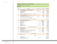**Apr-13**

#### **PROJECT NAME - Hiram Silver Comet Connection**

**SECTION 7**

**Project Summary**

| NO.            | <b>ITEM</b>                                                                   | QTY.           | UNIT            | COST         | <b>EXTENSION</b>           |
|----------------|-------------------------------------------------------------------------------|----------------|-----------------|--------------|----------------------------|
|                |                                                                               |                |                 |              |                            |
| А.             | <b>EARTHWORK, DEMOLITION, CLEARING + EROSION CONTROL</b>                      |                |                 |              |                            |
| $\mathbf{1}$   | Clearing + Grubbing (includes litter and vandalism removal)                   | 11,553         | LF              | \$3.00       | \$34,660.34                |
| 2              | Silt Fence (Each Side)                                                        | 23,107         | LF              | \$3.00       | \$69,320.68                |
| 3              | Fine Grading (0-5 cu ft/lf)                                                   | 11,553         | LF              | \$4.28       | \$49,448.75                |
| 4              | <b>Construction Entrance</b>                                                  | 4              | EA              | \$3,000.00   | \$12,000.00                |
| 5              | <b>Bank Stabilization</b>                                                     |                | LF              | \$4.28       | \$0.00                     |
| 6              | Hydroseeding                                                                  | 11,553         | LF              | \$0.32       | \$3.697.10                 |
|                | <b>Total Earthwork, Demolition, Clearing + Erosion Control</b>                |                |                 | \$0.00       | \$169,126.88               |
| в              | <b>GENERAL CONSTRUCTION</b>                                                   |                |                 |              |                            |
| $\overline{7}$ | 10' Concrete Multi-Use Trail (4" thick, 3,000 PSI conc., WWF, 4" gravel base) | 11,553         | LF              | \$55.00      | \$635,439.60               |
| 8              | Curb and Gutter (Concrete, 6" x 30", TP 2)                                    | 500            | LF              | \$20.00      | \$10,000.00                |
| 9              | *10' Asphalt Multi-Use Trail (1½ " thick bituminous surface, 4" gravel base)  | 11,553         | LF              | \$23.00      | \$265,729.29               |
| 10             | *10' Crushed Stone Trail (3/4" crushed stone, compacted, 6" deep)             | 11,553         | LF              | \$10.00      | \$115,534.47               |
|                |                                                                               |                |                 |              |                            |
|                | *Alternative trail surfaces not included in cost estimates                    |                |                 |              |                            |
|                | <b>Total General Construction</b>                                             |                |                 |              | \$645,439.60               |
| C.             | <b>STRUCTURES AND SPECIAL FEATURES</b>                                        |                |                 |              |                            |
| 13             | Lighting and Wiring of Overpasses and Underpasses                             |                | LS              | \$22,000.00  | \$0.00                     |
| 14             | Rehabilitation of Existing Structures                                         |                | LS              | \$500,000.00 | \$0.00                     |
| 15             | Trailhead                                                                     | $\mathbf{1}$   | EA              | \$500,000.00 | \$500,000.00               |
| 16             | <b>Directional Signage</b>                                                    | 3              | EA              | \$250.00     | \$750.00                   |
| 17             | Interpretive Signage                                                          | $\overline{2}$ | EA              | \$1,800.00   | \$3,600.00                 |
| 18             | Kiosks                                                                        | 3              | EA              | \$2,500.00   | \$7,500.00                 |
| 19             | <b>Mile Markers</b>                                                           | $\overline{2}$ | EA              | \$325.00     | \$650.00                   |
| 20             |                                                                               | 14             | EA              |              |                            |
|                | <b>Tree Planting</b>                                                          |                |                 | \$500.00     | \$7,000.00                 |
| 21             | Raised Planters/Bollards                                                      | 30             | EA              | \$500.00     | \$15,000.00                |
| 22             | <b>Trash/Recycle Receptacles</b>                                              | 2              | EA              | \$350.00     | \$700.00                   |
| 23             | <b>Benches</b><br><b>Total Structures and Special Features</b>                | $\overline{4}$ | EA              | \$750.00     | \$3,000.00<br>\$538,200.00 |
|                |                                                                               |                |                 |              |                            |
| D.             | <b>SAFETY TREATMENTS</b>                                                      |                |                 |              |                            |
| 24             | Detectable Warning Mat                                                        | 10             | EA              | \$175.00     | \$1,750.00                 |
| 25             | Signage (Traffic Control)                                                     | 30             | EA              | \$250.00     | \$7,500.00                 |
| 26             | <b>Bank Stabilization</b>                                                     |                | LF              | \$40.00      | \$0.00                     |
| 27             | Intersection Treatment (Unsignalized Crossing with curb ramp and crosswalk)   | 3              | EA              | \$5,525.00   | \$16,575.00                |
| 28             | Intersection Treatment (Signalized Crossing - Countdown Signal Only)          | $\overline{2}$ | EA              | \$10,020.00  | \$20,040.00                |
| 29             | <b>Raised Crosswalk</b>                                                       |                | EA              | \$7,000.00   | \$0.00                     |
| 30             | Intersection Treatment (Signalized Crossing - HAWK)                           |                | EA              | \$52,500.00  | \$0.00                     |
| 31             | Black wrought iron fencing along steep slopes                                 |                | LF              | \$90.00      | \$0.00                     |
|                |                                                                               |                |                 |              |                            |
| E.             | <b>Total Safety Treatments</b><br><b>OTHER</b>                                |                |                 |              | \$45,865.00                |
| 32             | Registered Land Survey                                                        | 11,553         | LF              | \$2.00       | \$23,106.89                |
|                |                                                                               |                |                 |              |                            |
|                | <b>Total Other</b>                                                            |                |                 |              | \$23,106.89                |
|                | SUBTOTAL ALL AREAS                                                            |                |                 |              | \$1,421,738.38             |
|                | <b>COST FACTOR</b>                                                            |                | 20% Contingency |              | \$284,347.68               |
|                | FEASIBILITY, DESIGN, ENGINEERING                                              | 30%            |                 |              | \$426,521.51               |
|                | <b>GRAND TOTAL ALL AREAS</b>                                                  |                |                 |              | \$2,132,607.57             |
|                |                                                                               |                |                 |              |                            |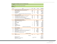**Apr-13**

#### **PROJECT NAME - Days Inn Silver Comet Connection SECTION 8 Project Summary**

**NO. ITEM QTY. UNIT COST EXTENSION A. EARTHWORK, DEMOLITION, CLEARING + EROSION CONTROL** 1 Clearing + Grubbing (includes litter and vandalism removal) 3,496 LF \$3.00 \$10,486.70<br>2 Silt Fence (Each Side) 8,991 LF \$3.00 \$20,973.40 2 Silt Fence (Each Side) 6,991 LF \$3.00 \$20,973.40<br>3 Fine Grading (0-5 cu ft/lf) 6,991 CF \$4.28 \$14.961.02 3 Fine Grading (0-5 cu ft/lf) <br>3,496 LF \$4.28 \$14,961.02<br>36,000.00 \$6,000.00 4 Construction Entrance 2 EA<br>
5 Bank Stabilization 2000.000 \$6,000.000 \$6,000.000 \$6,000.000 \$6,000.000 \$6,000.000 \$6,000.000 \$6,000.000 \$6,000 5 Bank Stabilization 1 - 10 0 CF \$4.28 \$0.00<br>16 Hydroseeding 113.58 SQ 0 0 1 - 50.32 \$1,118.58 6 Hydroseeding 3,496 LF \$0.32 \$1,118.58 *Total Earthwork, Demolition, Clearing + Erosion Control* \$0.00 *\$53,539.70* **B** GENERAL CONSTRUCTION 7 *10' Concrete Multi-Use Trail (4" thick, 3,000 PSI conc., WWF, 4" gravel base) 3,496* LF \$55.00 \$192,256.14 8 Curb and Gutter (Concrete, 6" x 30", TP 2 ) 1,584 LF \$20.00 \$31,680.00<br>9 10' Asphalt Multi-Use Trail (1% " thick bituminous surface. 4" gravel base) 3,496 LF \$23.00 \$80.398.02 9 *\*10' Asphalt Multi-Use Trail (1½ " thick bituminous surface, 4" gravel base) 3,496* LF *\$23.00 \$80,398.02* 10 *\*10' Crushed Stone Trail (¾" crushed stone, compacted, 6" deep) 3,496* LF *\$10.00 \$34,955.66* 11 5' Concrete Sidewalk (4" thick, slab on grade, no reinforcing) *1,584* LF *\$20.00 \$31,680.00* 12 5' Pavement widening for bike lane (Includes sawcut existing pvmt, grading, 10") *7,392* LF *\$55.00 \$406,560.00*  $Total General Construction$ *\*Alternative trail surfaces not included in cost estimates* **C. STRUCTURES AND SPECIAL FEATURES** 13 Lighting and Wiring of Overpasses and Underpasses **120 Connect 120 Connect 120 Connect 120 Connect 120 Connect 120 Connect 120 Connect 120 Connect 120 Connect 120 Connect 120 Connect 120 Connect 120 Connect 120 Connect** 14 Rehabilitation of Existing Structures and the control of the control of the control of the control of the control of the control of the control of the control of the control of the control of the control of the control 15 Trailhead \$500,000.00 \$0.00 \$0.00 \$1.00 \$1.00 \$1.00 \$1.00 \$1.00 \$1.00 \$1.00 \$1.00 \$1.00 \$1.00 \$1.00 \$1.00 \$ 16 Directional Signage 12 Contract 2001 12 Contract 2001 12 Contract 2001 12 Contract 2001 12 Contract 2001 12<br>1 EA \$1.800.00 \$1.800.00 17 Interpretive Signage 1 Contract 2001 1 EA \$1,800.00 \$1,800.00<br>18 Kiosks 1 EA \$2.500.00 \$2.500.00 18 Kiosks 1 EA \$2,500.00 \$2,500.00 19 Mile Markers 1 EA \$325.00 \$325.00 20 Tree Planting 2 EA \$500.00 \$1,000.00 21 Raised Planters/Bollards 12 EA \$500.00 \$6,000.00 Trash/Recycle Receptacles 1 **A**  $\sim$  350.000 \$350.000 \$350.00 \$350.00 \$350.00 \$350.00 \$350.00 \$350.00 \$350.00 \$350.00 \$350.00 \$350.00 \$350.00 \$350.00 \$350.00 \$350.00 \$350.00 \$350.00 \$350.00 \$350.00 \$350.00 \$350.00 \$350.00 23 Benches 2 EA \$750.00 \$1,500.00 *Total Structures and Special Features \$14,225.00* **D. SAFETY TREATMENTS**<br>24 Detectable Warning Mat 24 Detectable Warning Mat **12 Up and 24** EA \$175.00 \$700.00<br>25 Signage (Traffic Control. Directional) 12 EA \$250.00 \$3.000.00 25 Signage (Traffic Control, Directional) 12 EA \$250.00 \$3,000.00<br>26 Bank Stabilization 10 S0.00 \$0.00 26 Bank Stabilization<br>27 Intersection Treatment (Unsignalized Crossing with curb ramp and crosswalk) 1 EA \$5,525.00 27 Intersection Treatment (Unsignalized Crossing with curb ramp and crosswalk)  $1$  EA \$5,525.00 \$5,525.00 \$5,525.00<br>28 Intersection Treatment (Signalized Crossing - Countdown Signal Only) 1 EA \$10.020.00 \$10.020.00 28 Intersection Treatment (Signalized Crossing - Countdown Signal Only) 1 1 EA \$10,020.00 \$10,020.00 \$10,020.00<br>29 Raised Crosswalk \$0.00 29 Raised Crosswalk EA \$7,000.00 \$0.00 30 Intersection Treatment (Signalized Crossing - HAWK) EA \$52,500.00 \$0.00 31 Black wrought iron fencing along steep slopes Note 2000 CHS 390.00 \$0.00 \$0.00 *Total Safety Treatments \$19,245.00* E. **OTHER**<br>32 Register Registered Land Survey **3,496** LF \$2.00 \$6,991.13 *Total Other \$6,991.13* SUBTOTAL ALL AREAS \$563,920.83<br>COST FACTOR \$112.784.17 COST FACTOR 20% Contingency \$112,784.17 FEASIBILITY, DESIGN, ENGINEERING 30% \$169,176.25 GRAND TOTAL ALL AREAS \$845,881.25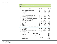**Apr-13**

# **PROJECT NAME - Dallas Town Center Silver Comet Connection**

**SECTION 9 Project Summary**

| NO.                            | <b>ITEM</b>                                                                     | QTY.           | <b>UNIT</b>     | COST             | <b>EXTENSION</b>          |
|--------------------------------|---------------------------------------------------------------------------------|----------------|-----------------|------------------|---------------------------|
|                                |                                                                                 |                |                 |                  |                           |
| A.                             | <b>EARTHWORK, DEMOLITION, CLEARING + EROSION CONTROL</b>                        |                |                 |                  |                           |
| $\mathbf{1}$<br>$\overline{2}$ | Clearing + Grubbing (includes litter and vandalism removal)                     | 4.657          | LF              | \$3.00           | \$13,969.96               |
| 3                              | Silt Fence (Each Side)<br>Fine Grading (0-5 cu ft/lf)                           | 9,313<br>4.657 | LF<br>LF        | \$3.00<br>\$4.28 | \$27,939.92               |
| 4                              | <b>Construction Entrance</b>                                                    | $\overline{2}$ | EA              | \$3,000.00       | \$19,930.47<br>\$6,000.00 |
| 5                              | <b>Bank Stabilization</b>                                                       | 400            | LF              | \$4.28           | \$1,712.00                |
| 6                              | Hydroseeding                                                                    | 4,657          | LF              | \$0.32           | \$1,490.13                |
|                                | <b>Total Earthwork, Demolition, Clearing + Erosion Control</b>                  |                |                 | \$0.00           | \$71,042.48               |
| B                              | <b>GENERAL CONSTRUCTION</b>                                                     |                |                 |                  |                           |
| $\overline{7}$                 | 10' Concrete Multi-Use Trail (4" thick, 3,000 PSI conc., WWF, 4" gravel base)   | 4,657          | LF              | \$55.00          | \$256,115.90              |
| 8                              | Curb and Gutter (Concrete, 6" x 30", TP 2)                                      |                | LF              | \$20.00          | \$0.00                    |
| 9                              | *10' Asphalt Multi-Use Trail (1½ "thick bituminous surface, 4" gravel base)     | 4,657          | LF              | \$23.00          | \$107,103.01              |
| 10                             | *10' Crushed Stone Trail (3/4" crushed stone, compacted, 6" deep)               | 4,657          | LF              | \$10.00          | \$46,566.53               |
| 11                             | 5' Concrete Sidewalk (4" thick, slab on grade, no reinforcing)                  |                | LF              | \$20.00          | \$0.00                    |
| 12                             | 5' Pavement widening for bike lane (Includes sawcut existing pvmt, grading, 10' | 9,313          | LF              | \$55.00          | \$512,231.80              |
|                                | <b>Total General Construction</b>                                               |                |                 |                  | \$512,231.80              |
|                                | *Alternative trail surfaces not included in cost estimates                      |                |                 |                  |                           |
| C.                             | <b>STRUCTURES AND SPECIAL FEATURES</b>                                          |                |                 |                  |                           |
| 13                             | Lighting and Wiring of Overpasses and Underpasses                               |                | LS              | \$22,000.00      | \$0.00                    |
| 14                             | Rehabilitation of Existing Structures                                           |                | <b>LS</b>       | \$500,000.00     | \$0.00                    |
| 15                             | Trailhead                                                                       |                | EA              | \$500,000.00     | \$0.00                    |
| 16                             | <b>Directional Signage</b>                                                      | 3              | EA              | \$250.00         | \$750.00                  |
| 17                             | Interpretive Signage                                                            | 1              | EA              | \$1,800.00       | \$1,800.00                |
| 18                             | <b>Kiosks</b>                                                                   | 1              | EA              | \$2,500.00       | \$2,500.00                |
| 19                             | <b>Mile Markers</b>                                                             | 1              | EA              | \$325.00         | \$325.00                  |
| 20                             | <b>Tree Planting</b>                                                            | $\overline{2}$ | EA              | \$500.00         | \$1,000.00                |
| 21                             | <b>Raised Planters/Bollards</b>                                                 | 24             | EA              | \$500.00         | \$12,000.00               |
| 22                             | <b>Trash/Recycle Receptacles</b>                                                | $\mathbf{1}$   | EA              | \$350.00         | \$350.00                  |
| 23                             | <b>Benches</b>                                                                  | $\overline{2}$ | EA              | \$750.00         | \$1,500.00                |
|                                | <b>Total Structures and Special Features</b>                                    |                |                 |                  | \$20,225.00               |
| D.                             | <b>SAFETY TREATMENTS</b>                                                        |                |                 |                  |                           |
| 24                             | Detectable Warning Mat                                                          | $\overline{8}$ | EA              | \$175.00         | \$1,400.00                |
| 25                             | Signage (Traffic Control)                                                       | 24             | EA              | \$250.00         | \$6,000.00                |
| 26                             | <b>Bank Stabilization</b>                                                       | 400            | LF              | \$40.00          | \$16,000.00               |
| 27                             | Intersection Treatment (Unsignalized Crossing with curb ramp and crosswalk)     | $\overline{2}$ | EA              | \$5,525.00       | \$11,050.00               |
| 28                             | Intersection Treatment (Signalized Crossing - Countdown Signal Only)            | $\overline{2}$ | EA              | \$10,020.00      | \$20,040.00               |
| 29                             | <b>Raised Crosswalk</b>                                                         |                | EA              | \$7,000.00       | \$0.00                    |
| 30                             | Intersection Treatment (Signalized Crossing - HAWK)                             |                | EA              | \$52,500.00      | \$0.00                    |
| 31                             | Black wrought iron fencing along steep slopes                                   |                | LF.             | \$90.00          | \$0.00                    |
|                                | <b>Total Safety Treatments</b>                                                  |                |                 |                  | \$54,490.00               |
| E.                             | <b>OTHER</b>                                                                    |                |                 |                  |                           |
| 32                             | Registered Land Survey                                                          | 4,657          | LF              | \$2.00           | \$9,313.31                |
|                                |                                                                                 |                |                 |                  |                           |
|                                | <b>Total Other</b>                                                              |                |                 |                  | \$9,313.31                |
|                                | SUBTOTAL ALL AREAS                                                              |                |                 |                  | \$667,302.58              |
|                                | <b>COST FACTOR</b>                                                              |                | 20% Contingency |                  | \$133,460.52              |
|                                | FEASIBILITY, DESIGN, ENGINEERING                                                | 30%            |                 |                  | \$200,190.78              |
|                                | <b>GRAND TOTAL ALL AREAS</b>                                                    |                |                 |                  | \$1,000,953.88            |
|                                |                                                                                 |                |                 |                  |                           |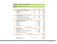SUMMARY OF PROBABLE COSTS

**Apr-13**

#### **PROJECT NAME - Campground Silver Comet Connection SECTION 10 Project Summary**

| NO.            | <b>ITEM</b>                                                                     | QTY.                           | <b>UNIT</b>     | COST                 | <b>EXTENSION</b>       |
|----------------|---------------------------------------------------------------------------------|--------------------------------|-----------------|----------------------|------------------------|
|                |                                                                                 |                                |                 |                      |                        |
| А.             | EARTHWORK, DEMOLITION, CLEARING + EROSION CONTROL                               |                                |                 |                      |                        |
| $\mathbf{1}$   | Clearing + Grubbing (includes litter and vandalism removal)                     | 4,198                          | LF              | \$3.00               | \$12,593.62            |
| $\overline{2}$ | Silt Fence (Each Side)                                                          | 8,396                          | LF              | \$3.00               | \$25,187.24            |
| 3              | Fine Grading (0-5 cu ft/lf)                                                     | 4,198                          | LF              | \$4.28               | \$17,966.90            |
| $\overline{4}$ | <b>Construction Entrance</b>                                                    | 2                              | EA              | \$3,000.00           | \$6,000.00             |
| 5              | <b>Bank Stabilization</b>                                                       | 400                            | LF              | \$4.28               | \$1,712.00             |
| 6              | Hydroseeding                                                                    | 4,198                          | LF              | \$0.32               | \$1,343.32             |
|                | <b>Total Earthwork, Demolition, Clearing + Erosion Control</b>                  |                                |                 |                      | \$64,803.08            |
| B              | <b>GENERAL CONSTRUCTION</b>                                                     |                                |                 |                      |                        |
| $\overline{7}$ | 10' Concrete Multi-Use Trail (4" thick, 3,000 PSI conc., WWF, 4" gravel base)   | 4.198                          | LF              | \$55.00              | \$230,883.04           |
| 8              | Curb and Gutter (Concrete, 6" x 30", TP 2)                                      | 4,198                          | LF              | \$20.00              | \$83,957.47            |
| 9              | *10' Asphalt Multi-Use Trail (1½ "thick bituminous surface, 4" gravel base)     | 4,198                          | LF              | \$23.00              | \$96,551.09            |
| 10             | *10' Crushed Stone Trail (3/4" crushed stone, compacted, 6" deep)               | 4,198                          | LF              | \$10.00              | \$41,978.73            |
| 11             | 5' Concrete Sidewalk (4" thick, slab on grade, no reinforcing)                  | 4,198                          | LF              | \$20.00              | \$83,957.47            |
| 12             | 5' Pavement widening for bike lane (Includes sawcut existing pvmt, grading, 10' | 8,396                          | LF              | \$55.00              | \$461,766.08           |
|                | <b>Total General Construction</b>                                               |                                |                 |                      | \$629,681.02           |
|                | *Alternative trail surfaces not included in cost estimates                      |                                |                 |                      |                        |
| C.             | <b>STRUCTURES AND SPECIAL FEATURES</b>                                          |                                |                 |                      |                        |
| 13             | Lighting and Wiring of Overpasses and Underpasses                               |                                | LS              | \$22,000.00          | \$0.00                 |
| 14             | Rehabilitation of Existing Structures                                           |                                | <b>LS</b>       | \$500,000.00         | \$0.00                 |
| 15             | Trailhead                                                                       |                                | EA              | \$500,000.00         | \$0.00                 |
| 16             | <b>Directional Signage</b>                                                      | 3                              | EA              | \$250.00             | \$750.00               |
| 17             | Interpretive Signage                                                            | $\mathbf{1}$                   | EA              | \$1,800.00           | \$1,800.00             |
| 18             | <b>Kiosks</b>                                                                   | $\mathbf{1}$                   | EA              | \$2,500.00           | \$2,500.00             |
| 19<br>20       | <b>Mile Markers</b>                                                             | $\mathbf{1}$<br>$\overline{2}$ | EA<br>EA        | \$325.00             | \$325.00               |
| 21             | <b>Tree Planting</b>                                                            | 12                             | EA              | \$500.00             | \$1,000.00             |
| 22             | Raised Planters/Bollards                                                        |                                | EA              | \$500.00             | \$6,000.00             |
| 23             | <b>Trash/Recycle Receptacles</b><br><b>Benches</b>                              | $\mathbf{1}$<br>$\overline{2}$ | EA              | \$350.00<br>\$750.00 | \$350.00<br>\$1,500.00 |
|                | <b>Total Structures and Special Features</b>                                    |                                |                 |                      | \$14,225.00            |
|                |                                                                                 |                                |                 |                      |                        |
| D.             | <b>SAFETY TREATMENTS</b>                                                        |                                |                 |                      |                        |
| 24             | Detectable Warning Mat                                                          | $\overline{4}$                 | EA              | \$175.00             | \$700.00               |
| 25             | Signage (Traffic Control, Directional)                                          | 12                             | EA              | \$250.00             | \$3,000.00             |
| 26             | <b>Bank Stabilization</b>                                                       | 400                            | LF              | \$40.00              | \$16,000.00            |
| 27             | Intersection Treatment (Unsignalized Crossing with curb ramp and crosswalk)     | 2                              | EA              | \$5,525.00           | \$11,050.00            |
| 28             | Intersection Treatment (Signalized Crossing - Countdown Signal Only)            |                                | EA              | \$10,020.00          | \$0.00                 |
| 29             | <b>Raised Crosswalk</b>                                                         |                                | EA              | \$7,000.00           | \$0.00                 |
| 30             | Intersection Treatment (Signalized Crossing - HAWK)                             |                                | EA              | \$52,500.00          | \$0.00                 |
| 31             | Black wrought iron fencing along steep slopes                                   |                                | LF              | \$90.00              | \$0.00                 |
|                | <b>Total Safety Treatments</b>                                                  |                                |                 |                      | \$30,750.00            |
| E.             | <b>OTHER</b>                                                                    |                                |                 |                      |                        |
| 32             | Registered Land Survey                                                          | 4,198                          | LF              | \$2.00               | \$8,395.75             |
|                | <b>Total Other</b>                                                              |                                |                 |                      | \$8,395.75             |
|                | SUBTOTAL ALL AREAS                                                              |                                |                 |                      | \$747,854.84           |
|                | <b>COST FACTOR</b>                                                              |                                | 20% Contingency |                      | \$149,570.97           |
|                | FEASIBILITY, DESIGN, ENGINEERING                                                | 30%                            |                 |                      | \$224,356.45           |
|                | <b>GRAND TOTAL ALL AREAS</b>                                                    |                                |                 |                      | \$1,121,782.27         |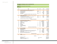**Apr-13**

**PROJECT NAME - Aragon Silver Comet Connection**

**SECTION 11 Project Summary**

| NO.                                                                   | <b>ITEM</b>                                                                                                                                                                                                                                                                                                                                                                        | QTY.                                                                     | <b>UNIT</b>                                                    | COST                                                                                                                                            | <b>EXTENSION</b>                                                                                                                                           |
|-----------------------------------------------------------------------|------------------------------------------------------------------------------------------------------------------------------------------------------------------------------------------------------------------------------------------------------------------------------------------------------------------------------------------------------------------------------------|--------------------------------------------------------------------------|----------------------------------------------------------------|-------------------------------------------------------------------------------------------------------------------------------------------------|------------------------------------------------------------------------------------------------------------------------------------------------------------|
|                                                                       |                                                                                                                                                                                                                                                                                                                                                                                    |                                                                          |                                                                |                                                                                                                                                 |                                                                                                                                                            |
| A.<br>$\mathbf{1}$<br>$\overline{2}$<br>3<br>$\overline{4}$<br>5<br>6 | EARTHWORK, DEMOLITION, CLEARING + EROSION CONTROL<br>Clearing + Grubbing (includes litter and vandalism removal)<br>Silt Fence (Each Side)<br>Fine Grading (0-5 cu ft/lf)<br><b>Construction Entrance</b><br><b>Bank Stabilization</b><br>Hydroseeding<br><b>Total Earthwork, Demolition, Clearing + Erosion Control</b>                                                           | 13,200<br>26.400<br>13,200<br>$\overline{4}$<br>800<br>13,200            | LF<br>LF<br>LF<br>EA<br>LF<br>LF                               | \$3.00<br>\$3.00<br>\$4.28<br>\$3,000.00<br>\$4.28<br>\$0.32<br>\$0.00                                                                          | \$39,599.38<br>\$79,198.77<br>\$56,495.12<br>\$12,000.00<br>\$3,424.00<br>\$4,223.93<br>\$194,941.20                                                       |
| B                                                                     | <b>GENERAL CONSTRUCTION</b>                                                                                                                                                                                                                                                                                                                                                        |                                                                          |                                                                |                                                                                                                                                 |                                                                                                                                                            |
| $\overline{7}$<br>8<br>9<br>10                                        | 10' Concrete Multi-Use Trail (4" thick, 3,000 PSI conc., WWF, 4" gravel base)<br>Curb and Gutter (Concrete, 6" x 30", TP 2)<br>*10' Asphalt Multi-Use Trail (1½ "thick bituminous surface, 4" gravel base)<br>*10' Crushed Stone Trail (3/4" crushed stone, compacted, 6" deep)<br>*Alternative trail surfaces not included in cost estimates<br><b>Total General Construction</b> | 13,200<br>200<br>13,200<br>13,200                                        | LF<br>LF<br>LF<br>LF                                           | \$55.00<br>\$20.00<br>\$23.00<br>\$10.00                                                                                                        | \$725,988.68<br>\$4,000.00<br>\$303,595.27<br>\$131,997.94<br>\$729,988.68                                                                                 |
|                                                                       |                                                                                                                                                                                                                                                                                                                                                                                    |                                                                          |                                                                |                                                                                                                                                 |                                                                                                                                                            |
| C.                                                                    | <b>STRUCTURES AND SPECIAL FEATURES</b>                                                                                                                                                                                                                                                                                                                                             |                                                                          |                                                                |                                                                                                                                                 |                                                                                                                                                            |
| 13<br>14<br>15<br>16<br>17<br>18<br>19<br>20<br>21<br>22<br>23<br>D.  | Lighting and Wiring of Overpasses and Underpasses<br>Rehabilitation of Existing Structures<br>Trailhead<br>Directional Signage<br>Interpretive Signage<br>Kiosks<br>Mile Markers<br><b>Tree Planting</b><br>Raised Planters/Bollards<br><b>Trash/Recycle Receptacles</b><br><b>Benches</b><br><b>Total Structures and Special Features</b><br><b>SAFETY TREATMENTS</b>             | 0<br>$\mathbf{1}$<br>3<br>2<br>3<br>2<br>14<br>12<br>2<br>$\overline{4}$ | LS<br>LS<br>EA<br>EA<br>EA<br>EA<br>EA<br>EA<br>EA<br>EA<br>EA | \$22,000.00<br>\$500,000.00<br>\$500,000.00<br>\$250.00<br>\$1,800.00<br>\$2,500.00<br>\$325.00<br>\$500.00<br>\$500.00<br>\$350.00<br>\$750.00 | \$0.00<br>\$0.00<br>\$500,000.00<br>\$750.00<br>\$3,600.00<br>\$7,500.00<br>\$650.00<br>\$7,000.00<br>\$6,000.00<br>\$700.00<br>\$3,000.00<br>\$529,200.00 |
| 24<br>25<br>26<br>27<br>28<br>29<br>30<br>31                          | Detectable Warning Mat<br>Signage (Traffic Control)<br><b>Bank Stabilization</b><br>Intersection Treatment (Unsignalized Crossing with curb ramp and crosswalk)<br>Intersection Treatment (Signalized Crossing - Countdown Signal Only)<br><b>Raised Crosswalk</b><br>Intersection Treatment (Signalized Crossing - HAWK)<br>Black wrought iron fencing along steep slopes         | $\overline{4}$<br>12<br>800<br>$\mathbf{1}$<br>$\mathbf{1}$              | EA<br>EA<br>LF<br>EA<br>EA<br>EA<br>EA<br>LF                   | \$175.00<br>\$250.00<br>\$40.00<br>\$5,525.00<br>\$10,020.00<br>\$7,000.00<br>\$52,500.00<br>\$90.00                                            | \$700.00<br>\$3,000.00<br>\$32,000.00<br>\$5,525.00<br>\$10,020.00<br>\$0.00<br>\$0.00<br>\$0.00                                                           |
| E.                                                                    | <b>Total Safety Treatments</b><br><b>OTHER</b>                                                                                                                                                                                                                                                                                                                                     |                                                                          |                                                                |                                                                                                                                                 | \$51,245.00                                                                                                                                                |
| 32                                                                    | Registered Land Survey                                                                                                                                                                                                                                                                                                                                                             | 13,200                                                                   | LF                                                             | \$2.00                                                                                                                                          | \$26,399.59                                                                                                                                                |
|                                                                       | <b>Total Other</b>                                                                                                                                                                                                                                                                                                                                                                 |                                                                          |                                                                |                                                                                                                                                 | \$26,399.59                                                                                                                                                |
|                                                                       | SUBTOTAL ALL AREAS<br><b>COST FACTOR</b><br>FEASIBILITY, DESIGN, ENGINEERING<br><b>GRAND TOTAL ALL AREAS</b>                                                                                                                                                                                                                                                                       | 30%                                                                      | 20% Contingency                                                |                                                                                                                                                 | \$1,531,774.47<br>\$306,354.89<br>\$459,532.34<br>\$2,297,661.71                                                                                           |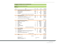SUMMARY OF PROBABLE COSTS

**Apr-13**

#### **PROJECT NAME - Rome Silver Comet Connection SECTION 12 Project Summary**

| NO.                 | <b>ITEM</b>                                                                                                                                         | QTY.            | <b>UNIT</b>     | COST                      | <b>EXTENSION</b>              |
|---------------------|-----------------------------------------------------------------------------------------------------------------------------------------------------|-----------------|-----------------|---------------------------|-------------------------------|
|                     |                                                                                                                                                     |                 |                 |                           |                               |
| А.                  | EARTHWORK, DEMOLITION, CLEARING + EROSION CONTROL                                                                                                   |                 |                 |                           |                               |
| $\overline{1}$      | Clearing + Grubbing (includes litter and vandalism removal)                                                                                         | 90,665          | LF              | \$3.00                    | \$271,995.80                  |
| 2                   | Silt Fence (Each Side)                                                                                                                              | 181,331         | LF              | \$3.00                    | \$543,991.61                  |
| 3                   | Fine Grading (0-5 cu ft/lf)                                                                                                                         | 90,665          | LF              | \$4.28                    | \$388,047.35                  |
| 4                   | <b>Construction Entrance</b>                                                                                                                        | 34              | EA              | \$3,000.00                | \$102,000.00                  |
| 5<br>6              | <b>Bank Stabilization</b>                                                                                                                           | 6.400<br>90.665 | LF<br>LF        | \$4.28<br>\$0.32          | \$27,392.00                   |
|                     | Hydroseeding<br><b>Total Earthwork, Demolition, Clearing + Erosion Control</b>                                                                      |                 |                 | \$0.00                    | \$29,012.89<br>\$1,362,439.64 |
|                     |                                                                                                                                                     |                 |                 |                           |                               |
| B<br>$\overline{7}$ | <b>GENERAL CONSTRUCTION</b><br>10' Concrete Multi-Use Trail (4" thick, 3,000 PSI conc., WWF, 4" gravel base)                                        | 90,665          | LF              | \$55.00                   |                               |
| 8                   | Curb and Gutter (Concrete, 6" x 30", TP 2)                                                                                                          | 1,500           | LF              | \$20.00                   | \$4,986,589.72                |
| 9                   | *10' Asphalt Multi-Use Trail (1½ "thick bituminous surface, 4" gravel base)                                                                         | 90,665          | LF              | \$23.00                   | \$30,000.00<br>\$2,085,301.16 |
| 10                  | *10' Crushed Stone Trail (3/4" crushed stone, compacted, 6" deep)                                                                                   | 90,665          | LF              | \$10.00                   | \$906,652.68                  |
|                     |                                                                                                                                                     |                 |                 |                           |                               |
|                     | *Alternative trail surfaces not included in cost estimates                                                                                          |                 |                 |                           |                               |
|                     | <b>Total General Construction</b>                                                                                                                   |                 |                 |                           | \$5,016,589.72                |
| C.                  | <b>STRUCTURES AND SPECIAL FEATURES</b>                                                                                                              |                 |                 |                           |                               |
| 13                  | Lighting and Wiring of Overpasses and Underpasses                                                                                                   |                 | <b>LS</b>       | \$22,000.00               | \$0.00                        |
| 14                  | Rehabilitation of Existing Structures                                                                                                               |                 | <b>LS</b>       | \$500,000.00              | \$0.00                        |
| 15                  | Trailhead                                                                                                                                           | 3               | EA              | \$500,000.00              | \$1,500,000.00                |
| 16                  | Directional Signage                                                                                                                                 | 3               | EA              | \$250.00                  | \$750.00                      |
| 17                  | Interpretive Signage                                                                                                                                | 17              | EA              | \$1,800.00                | \$30,600.00                   |
| 18                  | Kiosks                                                                                                                                              | 3               | EA              | \$2,500.00                | \$7,500.00                    |
| 19                  | <b>Mile Markers</b>                                                                                                                                 | 17              | EA              | \$325.00                  | \$5,525.00                    |
| 20                  | <b>Tree Planting</b>                                                                                                                                | 64              | EA              | \$500.00                  | \$32,000.00                   |
| 21                  | <b>Raised Planters/Bollards</b>                                                                                                                     | 90              | EA              | \$500.00                  | \$45,000.00                   |
| 22                  | <b>Trash/Recycle Receptacles</b>                                                                                                                    | 17              | EA              | \$350.00                  | \$5,950.00                    |
| 23                  | <b>Benches</b><br><b>Total Structures and Special Features</b>                                                                                      | 34              | EA              | \$750.00                  | \$25,500.00<br>\$1,652,825.00 |
|                     |                                                                                                                                                     |                 |                 |                           |                               |
| D.                  | <b>SAFETY TREATMENTS</b>                                                                                                                            |                 |                 |                           |                               |
| 24                  | Detectable Warning Mat                                                                                                                              | 30              | EA              | \$175.00                  | \$5,250.00                    |
| 25                  | Signage (Traffic Control)                                                                                                                           | 90              | EA              | \$250.00                  | \$22,500.00                   |
| 26                  | <b>Bank Stabilization</b>                                                                                                                           | 6,400           | LF              | \$40.00                   | \$256,000.00                  |
| 27<br>28            | Intersection Treatment (Unsignalized Crossing with curb ramp and crosswalk)<br>Intersection Treatment (Signalized Crossing - Countdown Signal Only) | 12<br>3         | EA<br>EA        | \$5,525.00<br>\$10,020.00 | \$66,300.00<br>\$30,060.00    |
| 29                  | <b>Raised Crosswalk</b>                                                                                                                             |                 | EA              | \$7,000.00                | \$0.00                        |
| 30                  | Intersection Treatment (Signalized Crossing - HAWK)                                                                                                 |                 | EA              | \$52,500.00               | \$0.00                        |
| 31                  | Black wrought iron fencing along steep slopes                                                                                                       |                 | LF              | \$90.00                   | \$0.00                        |
|                     |                                                                                                                                                     |                 |                 |                           |                               |
| E.                  | <b>Total Safety Treatments</b><br><b>OTHER</b>                                                                                                      |                 |                 |                           | \$380,110.00                  |
| 32                  | Registered Land Survey                                                                                                                              | 90,665          | LF              | \$2.00                    | \$181,330.54                  |
|                     |                                                                                                                                                     |                 |                 |                           |                               |
|                     | <b>Total Other</b>                                                                                                                                  |                 |                 |                           | \$181,330.54                  |
|                     | SUBTOTAL ALL AREAS                                                                                                                                  |                 |                 |                           | \$8,593,294.90                |
|                     | <b>COST FACTOR</b>                                                                                                                                  |                 | 20% Contingency |                           | \$1,718,658.98                |
|                     | FEASIBILITY, DESIGN, ENGINEERING                                                                                                                    | 30%             |                 |                           | \$2,577,988.47                |
|                     | <b>GRAND TOTAL ALL AREAS</b>                                                                                                                        |                 |                 |                           | \$12,889,942.35               |